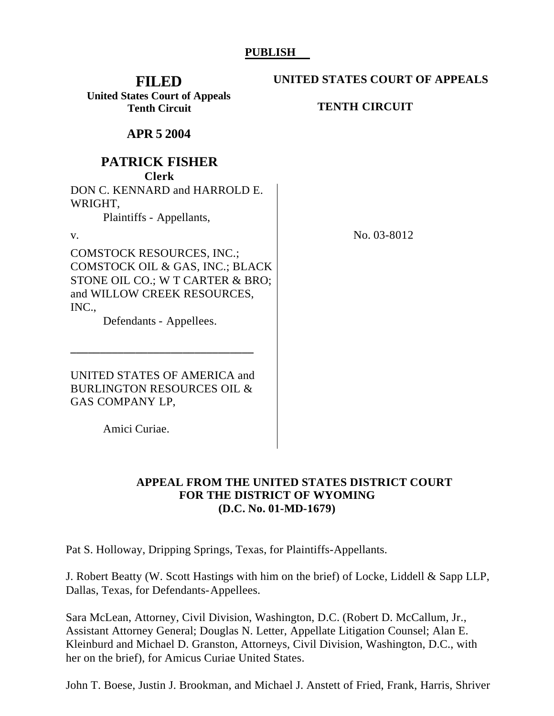## **PUBLISH**

**FILED United States Court of Appeals Tenth Circuit**

**UNITED STATES COURT OF APPEALS**

**TENTH CIRCUIT**

**APR 5 2004**

## **PATRICK FISHER**

**Clerk**

DON C. KENNARD and HARROLD E. WRIGHT,

COMSTOCK OIL & GAS, INC.; BLACK STONE OIL CO.; W T CARTER & BRO; and WILLOW CREEK RESOURCES,

Plaintiffs - Appellants,

COMSTOCK RESOURCES, INC.;

INC.,

v. No. 03-8012

UNITED STATES OF AMERICA and BURLINGTON RESOURCES OIL & GAS COMPANY LP,

Defendants - Appellees.

**\_\_\_\_\_\_\_\_\_\_\_\_\_\_\_\_\_\_\_\_\_\_\_\_\_\_\_\_\_\_\_**

Amici Curiae.

## **APPEAL FROM THE UNITED STATES DISTRICT COURT FOR THE DISTRICT OF WYOMING (D.C. No. 01-MD-1679)**

Pat S. Holloway, Dripping Springs, Texas, for Plaintiffs-Appellants.

J. Robert Beatty (W. Scott Hastings with him on the brief) of Locke, Liddell & Sapp LLP, Dallas, Texas, for Defendants-Appellees.

Sara McLean, Attorney, Civil Division, Washington, D.C. (Robert D. McCallum, Jr., Assistant Attorney General; Douglas N. Letter, Appellate Litigation Counsel; Alan E. Kleinburd and Michael D. Granston, Attorneys, Civil Division, Washington, D.C., with her on the brief), for Amicus Curiae United States.

John T. Boese, Justin J. Brookman, and Michael J. Anstett of Fried, Frank, Harris, Shriver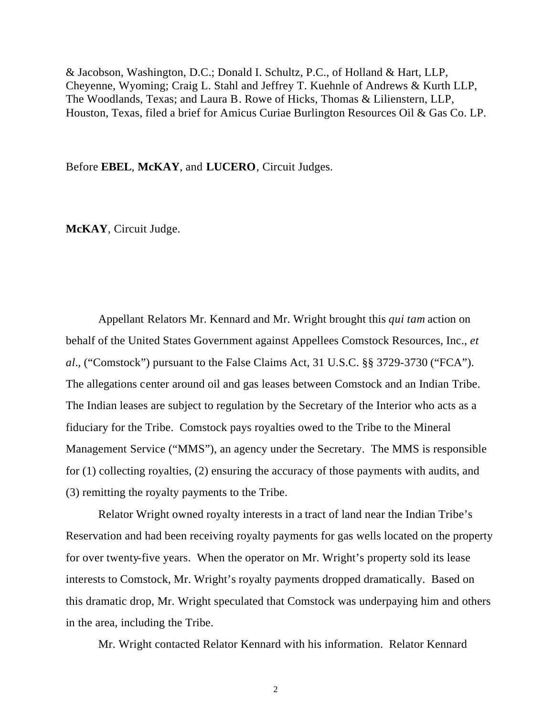& Jacobson, Washington, D.C.; Donald I. Schultz, P.C., of Holland & Hart, LLP, Cheyenne, Wyoming; Craig L. Stahl and Jeffrey T. Kuehnle of Andrews & Kurth LLP, The Woodlands, Texas; and Laura B. Rowe of Hicks, Thomas & Lilienstern, LLP, Houston, Texas, filed a brief for Amicus Curiae Burlington Resources Oil & Gas Co. LP.

Before **EBEL**, **McKAY**, and **LUCERO**, Circuit Judges.

**McKAY**, Circuit Judge.

Appellant Relators Mr. Kennard and Mr. Wright brought this *qui tam* action on behalf of the United States Government against Appellees Comstock Resources, Inc., *et al.*, ("Comstock") pursuant to the False Claims Act, 31 U.S.C. §§ 3729-3730 ("FCA"). The allegations center around oil and gas leases between Comstock and an Indian Tribe. The Indian leases are subject to regulation by the Secretary of the Interior who acts as a fiduciary for the Tribe. Comstock pays royalties owed to the Tribe to the Mineral Management Service ("MMS"), an agency under the Secretary. The MMS is responsible for (1) collecting royalties, (2) ensuring the accuracy of those payments with audits, and (3) remitting the royalty payments to the Tribe.

Relator Wright owned royalty interests in a tract of land near the Indian Tribe's Reservation and had been receiving royalty payments for gas wells located on the property for over twenty-five years. When the operator on Mr. Wright's property sold its lease interests to Comstock, Mr. Wright's royalty payments dropped dramatically. Based on this dramatic drop, Mr. Wright speculated that Comstock was underpaying him and others in the area, including the Tribe.

Mr. Wright contacted Relator Kennard with his information. Relator Kennard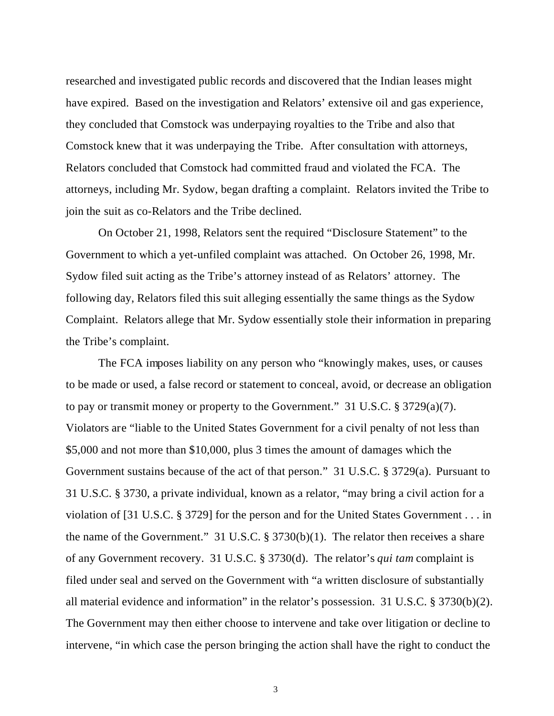researched and investigated public records and discovered that the Indian leases might have expired. Based on the investigation and Relators' extensive oil and gas experience, they concluded that Comstock was underpaying royalties to the Tribe and also that Comstock knew that it was underpaying the Tribe. After consultation with attorneys, Relators concluded that Comstock had committed fraud and violated the FCA. The attorneys, including Mr. Sydow, began drafting a complaint. Relators invited the Tribe to join the suit as co-Relators and the Tribe declined.

On October 21, 1998, Relators sent the required "Disclosure Statement" to the Government to which a yet-unfiled complaint was attached. On October 26, 1998, Mr. Sydow filed suit acting as the Tribe's attorney instead of as Relators' attorney. The following day, Relators filed this suit alleging essentially the same things as the Sydow Complaint. Relators allege that Mr. Sydow essentially stole their information in preparing the Tribe's complaint.

The FCA imposes liability on any person who "knowingly makes, uses, or causes to be made or used, a false record or statement to conceal, avoid, or decrease an obligation to pay or transmit money or property to the Government." 31 U.S.C. § 3729(a)(7). Violators are "liable to the United States Government for a civil penalty of not less than \$5,000 and not more than \$10,000, plus 3 times the amount of damages which the Government sustains because of the act of that person." 31 U.S.C. § 3729(a).Pursuant to 31 U.S.C. § 3730, a private individual, known as a relator, "may bring a civil action for a violation of [31 U.S.C. § 3729] for the person and for the United States Government . . . in the name of the Government." 31 U.S.C.  $\S 3730(b)(1)$ . The relator then receives a share of any Government recovery. 31 U.S.C. § 3730(d). The relator's *qui tam* complaint is filed under seal and served on the Government with "a written disclosure of substantially all material evidence and information" in the relator's possession. 31 U.S.C. § 3730(b)(2). The Government may then either choose to intervene and take over litigation or decline to intervene, "in which case the person bringing the action shall have the right to conduct the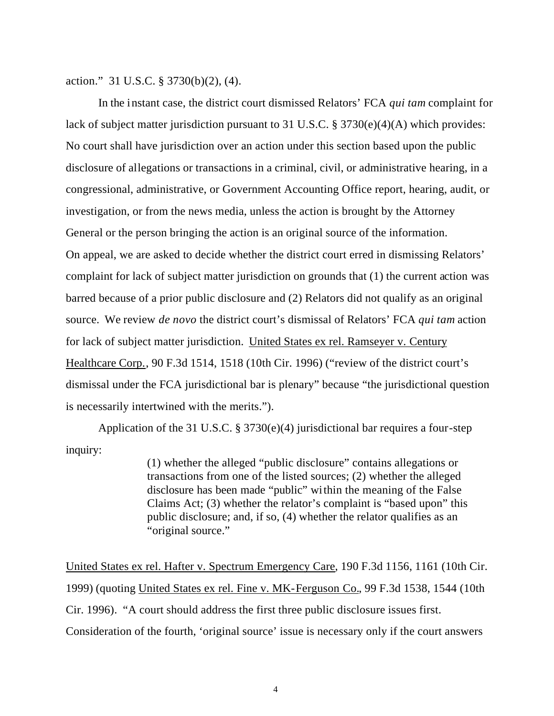action." 31 U.S.C. § 3730(b)(2), (4).

In the instant case, the district court dismissed Relators' FCA *qui tam* complaint for lack of subject matter jurisdiction pursuant to 31 U.S.C. § 3730(e)(4)(A) which provides: No court shall have jurisdiction over an action under this section based upon the public disclosure of allegations or transactions in a criminal, civil, or administrative hearing, in a congressional, administrative, or Government Accounting Office report, hearing, audit, or investigation, or from the news media, unless the action is brought by the Attorney General or the person bringing the action is an original source of the information. On appeal, we are asked to decide whether the district court erred in dismissing Relators' complaint for lack of subject matter jurisdiction on grounds that (1) the current action was barred because of a prior public disclosure and (2) Relators did not qualify as an original source. We review *de novo* the district court's dismissal of Relators' FCA *qui tam* action for lack of subject matter jurisdiction. United States ex rel. Ramseyer v. Century Healthcare Corp., 90 F.3d 1514, 1518 (10th Cir. 1996) ("review of the district court's dismissal under the FCA jurisdictional bar is plenary" because "the jurisdictional question is necessarily intertwined with the merits.").

Application of the 31 U.S.C. § 3730(e)(4) jurisdictional bar requires a four-step inquiry:

> (1) whether the alleged "public disclosure" contains allegations or transactions from one of the listed sources; (2) whether the alleged disclosure has been made "public" within the meaning of the False Claims Act; (3) whether the relator's complaint is "based upon" this public disclosure; and, if so, (4) whether the relator qualifies as an "original source."

United States ex rel. Hafter v. Spectrum Emergency Care, 190 F.3d 1156, 1161 (10th Cir. 1999) (quoting United States ex rel. Fine v. MK-Ferguson Co., 99 F.3d 1538, 1544 (10th Cir. 1996). "A court should address the first three public disclosure issues first. Consideration of the fourth, 'original source' issue is necessary only if the court answers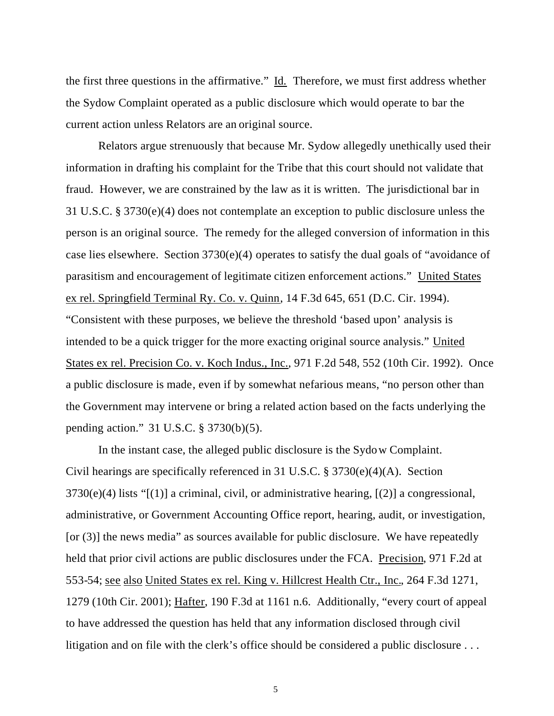the first three questions in the affirmative." Id. Therefore, we must first address whether the Sydow Complaint operated as a public disclosure which would operate to bar the current action unless Relators are an original source.

Relators argue strenuously that because Mr. Sydow allegedly unethically used their information in drafting his complaint for the Tribe that this court should not validate that fraud. However, we are constrained by the law as it is written. The jurisdictional bar in 31 U.S.C. § 3730(e)(4) does not contemplate an exception to public disclosure unless the person is an original source. The remedy for the alleged conversion of information in this case lies elsewhere.Section 3730(e)(4) operates to satisfy the dual goals of "avoidance of parasitism and encouragement of legitimate citizen enforcement actions." United States ex rel. Springfield Terminal Ry. Co. v. Quinn, 14 F.3d 645, 651 (D.C. Cir. 1994). "Consistent with these purposes, we believe the threshold 'based upon' analysis is intended to be a quick trigger for the more exacting original source analysis." United States ex rel. Precision Co. v. Koch Indus., Inc., 971 F.2d 548, 552 (10th Cir. 1992). Once a public disclosure is made, even if by somewhat nefarious means, "no person other than the Government may intervene or bring a related action based on the facts underlying the pending action."31 U.S.C. § 3730(b)(5).

In the instant case, the alleged public disclosure is the Sydow Complaint. Civil hearings are specifically referenced in 31 U.S.C. § 3730(e)(4)(A). Section  $3730(e)(4)$  lists "[(1)] a criminal, civil, or administrative hearing, [(2)] a congressional, administrative, or Government Accounting Office report, hearing, audit, or investigation, [or (3)] the news media" as sources available for public disclosure. We have repeatedly held that prior civil actions are public disclosures under the FCA. Precision, 971 F.2d at 553-54; see also United States ex rel. King v. Hillcrest Health Ctr., Inc., 264 F.3d 1271, 1279 (10th Cir. 2001); Hafter, 190 F.3d at 1161 n.6. Additionally, "every court of appeal to have addressed the question has held that any information disclosed through civil litigation and on file with the clerk's office should be considered a public disclosure ...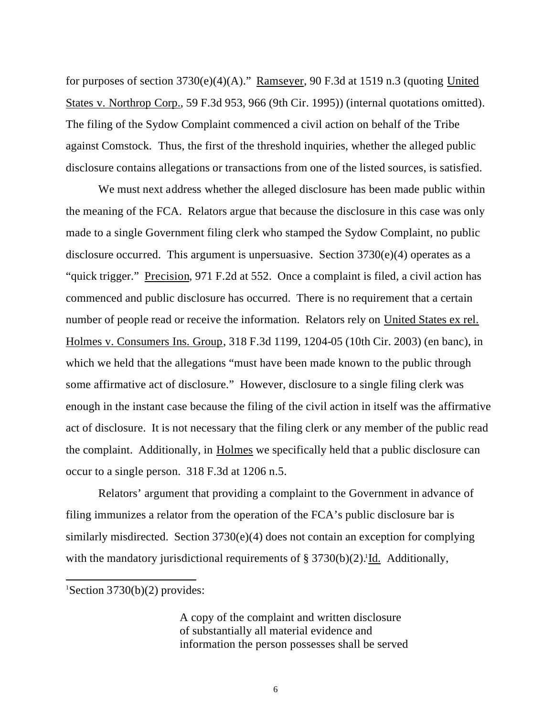for purposes of section 3730(e)(4)(A)." Ramseyer, 90 F.3d at 1519 n.3 (quoting United States v. Northrop Corp., 59 F.3d 953, 966 (9th Cir. 1995)) (internal quotations omitted). The filing of the Sydow Complaint commenced a civil action on behalf of the Tribe against Comstock. Thus, the first of the threshold inquiries, whether the alleged public disclosure contains allegations or transactions from one of the listed sources, is satisfied.

We must next address whether the alleged disclosure has been made public within the meaning of the FCA. Relators argue that because the disclosure in this case was only made to a single Government filing clerk who stamped the Sydow Complaint, no public disclosure occurred. This argument is unpersuasive. Section 3730(e)(4) operates as a "quick trigger." Precision, 971 F.2d at 552. Once a complaint is filed, a civil action has commenced and public disclosure has occurred. There is no requirement that a certain number of people read or receive the information. Relators rely on United States ex rel. Holmes v. Consumers Ins. Group, 318 F.3d 1199, 1204-05 (10th Cir. 2003) (en banc), in which we held that the allegations "must have been made known to the public through some affirmative act of disclosure." However, disclosure to a single filing clerk was enough in the instant case because the filing of the civil action in itself was the affirmative act of disclosure. It is not necessary that the filing clerk or any member of the public read the complaint. Additionally, in Holmes we specifically held that a public disclosure can occur to a single person. 318 F.3d at 1206 n.5.

Relators' argument that providing a complaint to the Government in advance of filing immunizes a relator from the operation of the FCA's public disclosure bar is similarly misdirected. Section 3730(e)(4) does not contain an exception for complying with the mandatory jurisdictional requirements of  $\S 3730(b)(2)$ .<sup>1</sup>Id. Additionally,

<sup>1</sup>Section 3730(b)(2) provides:

l

A copy of the complaint and written disclosure of substantially all material evidence and information the person possesses shall be served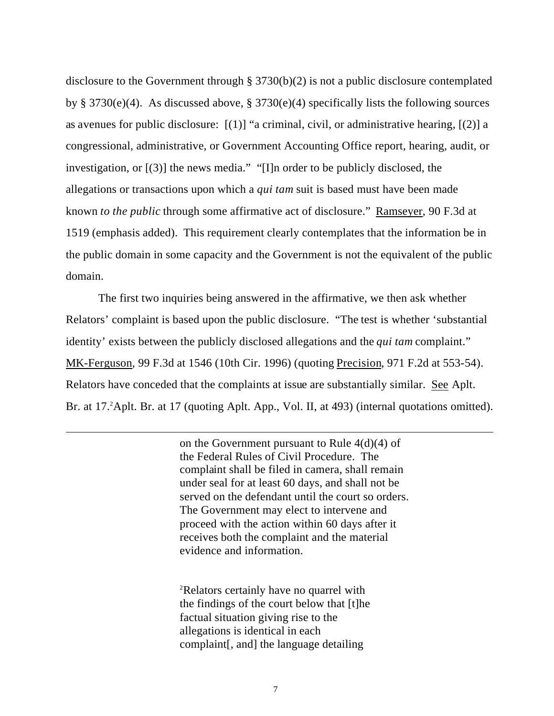disclosure to the Government through § 3730(b)(2) is not a public disclosure contemplated by § 3730(e)(4). As discussed above, § 3730(e)(4) specifically lists the following sources as avenues for public disclosure:  $[(1)]$  "a criminal, civil, or administrative hearing,  $[(2)]$  a congressional, administrative, or Government Accounting Office report, hearing, audit, or investigation, or [(3)] the news media." "[I]n order to be publicly disclosed, the allegations or transactions upon which a *qui tam* suit is based must have been made known *to the public* through some affirmative act of disclosure." Ramseyer, 90 F.3d at 1519 (emphasis added). This requirement clearly contemplates that the information be in the public domain in some capacity and the Government is not the equivalent of the public domain.

The first two inquiries being answered in the affirmative, we then ask whether Relators' complaint is based upon the public disclosure. "The test is whether 'substantial identity' exists between the publicly disclosed allegations and the *qui tam* complaint." MK-Ferguson, 99 F.3d at 1546 (10th Cir. 1996) (quoting Precision, 971 F.2d at 553-54). Relators have conceded that the complaints at issue are substantially similar. See Aplt. Br. at 17. <sup>2</sup>Aplt. Br. at 17 (quoting Aplt. App., Vol. II, at 493) (internal quotations omitted).

l

on the Government pursuant to Rule 4(d)(4) of the Federal Rules of Civil Procedure. The complaint shall be filed in camera, shall remain under seal for at least 60 days, and shall not be served on the defendant until the court so orders. The Government may elect to intervene and proceed with the action within 60 days after it receives both the complaint and the material evidence and information.

<sup>2</sup>Relators certainly have no quarrel with the findings of the court below that [t]he factual situation giving rise to the allegations is identical in each complaint[, and] the language detailing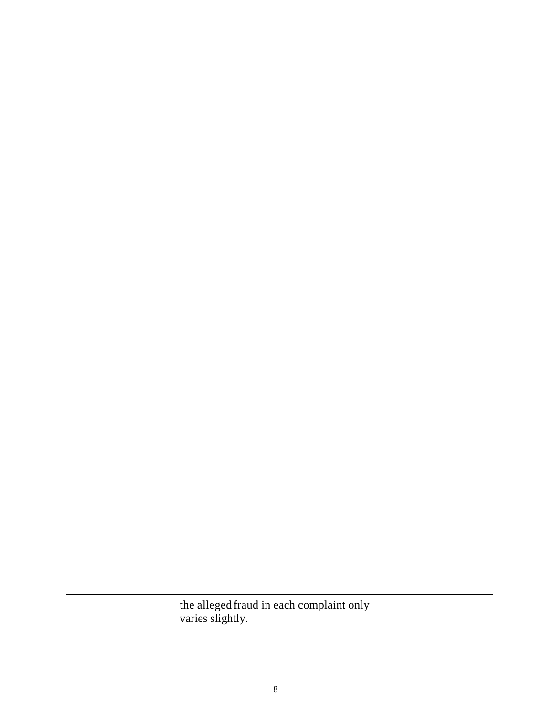the alleged fraud in each complaint only varies slightly.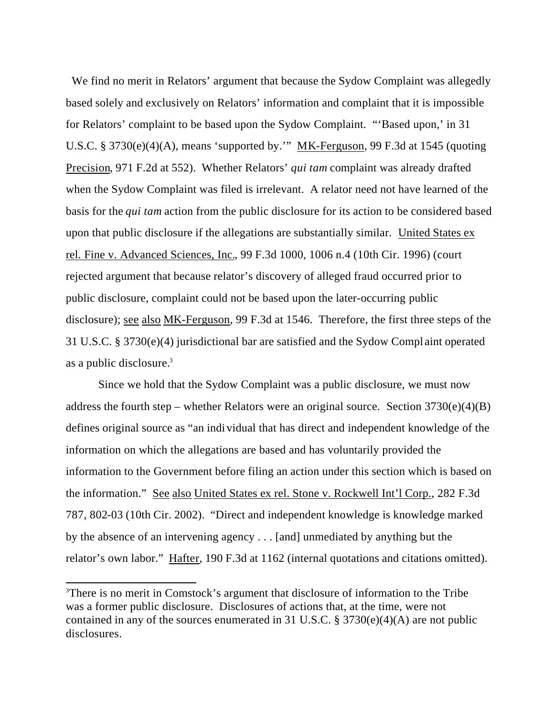We find no merit in Relators' argument that because the Sydow Complaint was allegedly based solely and exclusively on Relators' information and complaint that it is impossible for Relators' complaint to be based upon the Sydow Complaint. "'Based upon,' in 31 U.S.C. § 3730(e)(4)(A), means 'supported by.'" MK-Ferguson, 99 F.3d at 1545 (quoting Precision, 971 F.2d at 552). Whether Relators' *qui tam* complaint was already drafted when the Sydow Complaint was filed is irrelevant. A relator need not have learned of the basis for the *qui tam* action from the public disclosure for its action to be considered based upon that public disclosure if the allegations are substantially similar. United States ex rel. Fine v. Advanced Sciences, Inc., 99 F.3d 1000, 1006 n.4 (10th Cir. 1996) (court rejected argument that because relator's discovery of alleged fraud occurred prior to public disclosure, complaint could not be based upon the later-occurring public disclosure); see also MK-Ferguson, 99 F.3d at 1546. Therefore, the first three steps of the 31 U.S.C. § 3730(e)(4) jurisdictional bar are satisfied and the Sydow Compl aint operated as a public disclosure.<sup>3</sup>

Since we hold that the Sydow Complaint was a public disclosure, we must now address the fourth step – whether Relators were an original source. Section  $3730(e)(4)(B)$ defines original source as "an individual that has direct and independent knowledge of the information on which the allegations are based and has voluntarily provided the information to the Government before filing an action under this section which is based on the information." See also United States ex rel. Stone v. Rockwell Int'l Corp., 282 F.3d 787, 802-03 (10th Cir. 2002). "Direct and independent knowledge is knowledge marked by the absence of an intervening agency . . . [and] unmediated by anything but the relator's own labor." Hafter, 190 F.3d at 1162 (internal quotations and citations omitted).

<sup>3</sup>There is no merit in Comstock's argument that disclosure of information to the Tribe was a former public disclosure. Disclosures of actions that, at the time, were not contained in any of the sources enumerated in 31 U.S.C.  $\S 3730(e)(4)(A)$  are not public disclosures.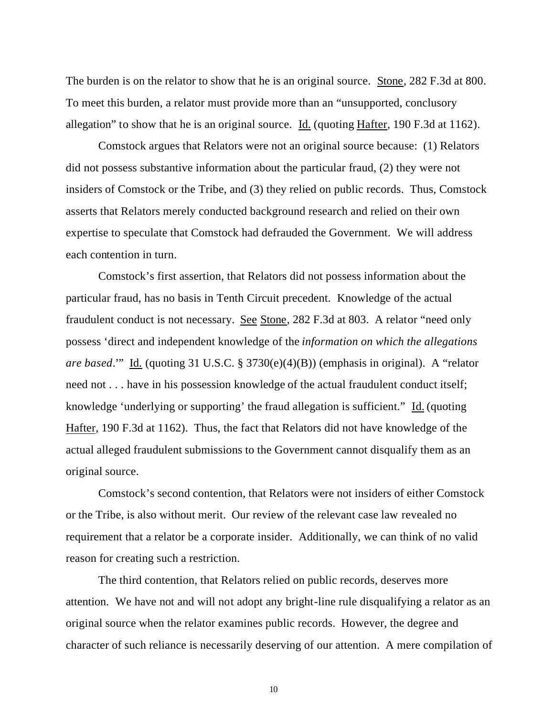The burden is on the relator to show that he is an original source. Stone, 282 F.3d at 800. To meet this burden, a relator must provide more than an "unsupported, conclusory allegation" to show that he is an original source. Id. (quoting Hafter, 190 F.3d at 1162).

Comstock argues that Relators were not an original source because: (1) Relators did not possess substantive information about the particular fraud, (2) they were not insiders of Comstock or the Tribe, and (3) they relied on public records. Thus, Comstock asserts that Relators merely conducted background research and relied on their own expertise to speculate that Comstock had defrauded the Government. We will address each contention in turn.

Comstock's first assertion, that Relators did not possess information about the particular fraud, has no basis in Tenth Circuit precedent. Knowledge of the actual fraudulent conduct is not necessary. See Stone, 282 F.3d at 803. A relator "need only possess 'direct and independent knowledge of the *information on which the allegations are based*.'" Id. (quoting 31 U.S.C. § 3730(e)(4)(B)) (emphasis in original). A "relator need not . . . have in his possession knowledge of the actual fraudulent conduct itself; knowledge 'underlying or supporting' the fraud allegation is sufficient." Id. (quoting Hafter, 190 F.3d at 1162). Thus, the fact that Relators did not have knowledge of the actual alleged fraudulent submissions to the Government cannot disqualify them as an original source.

Comstock's second contention, that Relators were not insiders of either Comstock or the Tribe, is also without merit. Our review of the relevant case law revealed no requirement that a relator be a corporate insider. Additionally, we can think of no valid reason for creating such a restriction.

The third contention, that Relators relied on public records, deserves more attention. We have not and will not adopt any bright-line rule disqualifying a relator as an original source when the relator examines public records. However, the degree and character of such reliance is necessarily deserving of our attention. A mere compilation of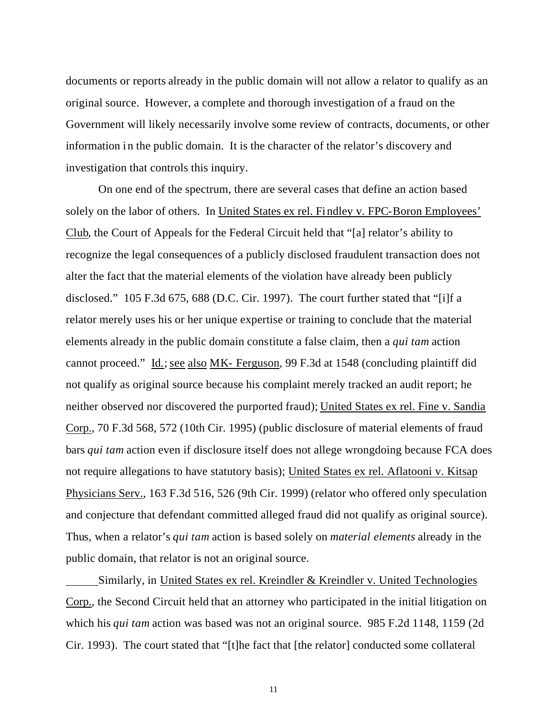documents or reports already in the public domain will not allow a relator to qualify as an original source. However, a complete and thorough investigation of a fraud on the Government will likely necessarily involve some review of contracts, documents, or other information in the public domain. It is the character of the relator's discovery and investigation that controls this inquiry.

On one end of the spectrum, there are several cases that define an action based solely on the labor of others. In United States ex rel. Findley v. FPC-Boron Employees' Club, the Court of Appeals for the Federal Circuit held that "[a] relator's ability to recognize the legal consequences of a publicly disclosed fraudulent transaction does not alter the fact that the material elements of the violation have already been publicly disclosed." 105 F.3d 675, 688 (D.C. Cir. 1997). The court further stated that "[i]f a relator merely uses his or her unique expertise or training to conclude that the material elements already in the public domain constitute a false claim, then a *qui tam* action cannot proceed." Id.; see also MK- Ferguson, 99 F.3d at 1548 (concluding plaintiff did not qualify as original source because his complaint merely tracked an audit report; he neither observed nor discovered the purported fraud); United States ex rel. Fine v. Sandia Corp., 70 F.3d 568, 572 (10th Cir. 1995) (public disclosure of material elements of fraud bars *qui tam* action even if disclosure itself does not allege wrongdoing because FCA does not require allegations to have statutory basis); United States ex rel. Aflatooni v. Kitsap Physicians Serv., 163 F.3d 516, 526 (9th Cir. 1999) (relator who offered only speculation and conjecture that defendant committed alleged fraud did not qualify as original source). Thus, when a relator's *qui tam* action is based solely on *material elements* already in the public domain, that relator is not an original source.

Similarly, in United States ex rel. Kreindler & Kreindler v. United Technologies Corp., the Second Circuit held that an attorney who participated in the initial litigation on which his *qui tam* action was based was not an original source. 985 F.2d 1148, 1159 (2d Cir. 1993). The court stated that "[t]he fact that [the relator] conducted some collateral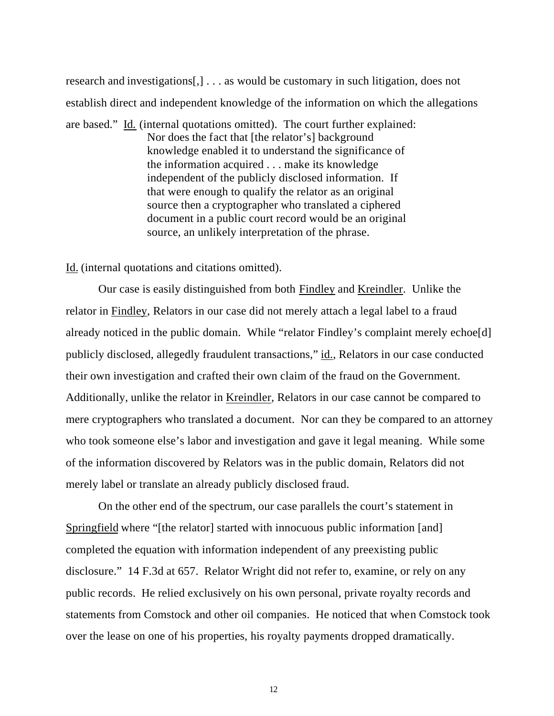research and investigations[,] . . . as would be customary in such litigation, does not establish direct and independent knowledge of the information on which the allegations

are based." Id. (internal quotations omitted). The court further explained: Nor does the fact that [the relator's] background knowledge enabled it to understand the significance of the information acquired . . . make its knowledge independent of the publicly disclosed information. If that were enough to qualify the relator as an original source then a cryptographer who translated a ciphered document in a public court record would be an original source, an unlikely interpretation of the phrase.

Id. (internal quotations and citations omitted).

Our case is easily distinguished from both Findley and Kreindler. Unlike the relator in Findley, Relators in our case did not merely attach a legal label to a fraud already noticed in the public domain. While "relator Findley's complaint merely echoe[d] publicly disclosed, allegedly fraudulent transactions," id., Relators in our case conducted their own investigation and crafted their own claim of the fraud on the Government. Additionally, unlike the relator in Kreindler, Relators in our case cannot be compared to mere cryptographers who translated a document. Nor can they be compared to an attorney who took someone else's labor and investigation and gave it legal meaning. While some of the information discovered by Relators was in the public domain, Relators did not merely label or translate an already publicly disclosed fraud.

On the other end of the spectrum, our case parallels the court's statement in Springfield where "[the relator] started with innocuous public information [and] completed the equation with information independent of any preexisting public disclosure." 14 F.3d at 657. Relator Wright did not refer to, examine, or rely on any public records. He relied exclusively on his own personal, private royalty records and statements from Comstock and other oil companies. He noticed that when Comstock took over the lease on one of his properties, his royalty payments dropped dramatically.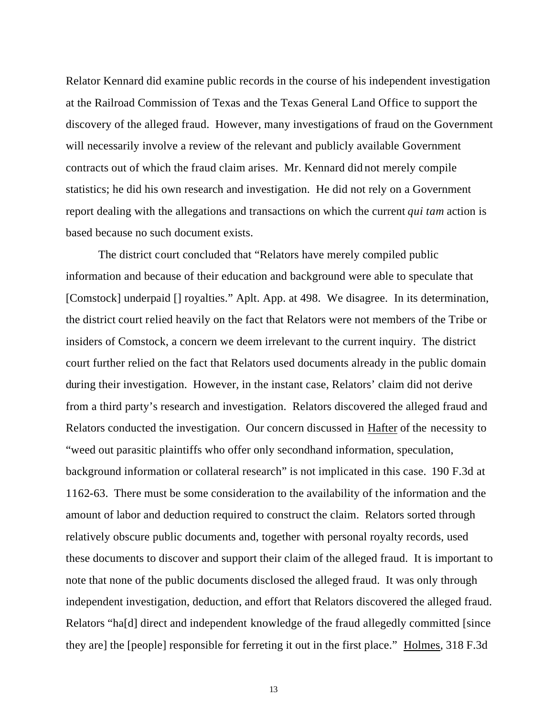Relator Kennard did examine public records in the course of his independent investigation at the Railroad Commission of Texas and the Texas General Land Office to support the discovery of the alleged fraud. However, many investigations of fraud on the Government will necessarily involve a review of the relevant and publicly available Government contracts out of which the fraud claim arises. Mr. Kennard did not merely compile statistics; he did his own research and investigation. He did not rely on a Government report dealing with the allegations and transactions on which the current *qui tam* action is based because no such document exists.

The district court concluded that "Relators have merely compiled public information and because of their education and background were able to speculate that [Comstock] underpaid [] royalties." Aplt. App. at 498. We disagree. In its determination, the district court relied heavily on the fact that Relators were not members of the Tribe or insiders of Comstock, a concern we deem irrelevant to the current inquiry. The district court further relied on the fact that Relators used documents already in the public domain during their investigation. However, in the instant case, Relators' claim did not derive from a third party's research and investigation. Relators discovered the alleged fraud and Relators conducted the investigation. Our concern discussed in Hafter of the necessity to "weed out parasitic plaintiffs who offer only secondhand information, speculation, background information or collateral research" is not implicated in this case. 190 F.3d at 1162-63. There must be some consideration to the availability of the information and the amount of labor and deduction required to construct the claim. Relators sorted through relatively obscure public documents and, together with personal royalty records, used these documents to discover and support their claim of the alleged fraud. It is important to note that none of the public documents disclosed the alleged fraud. It was only through independent investigation, deduction, and effort that Relators discovered the alleged fraud. Relators "ha[d] direct and independent knowledge of the fraud allegedly committed [since they are] the [people] responsible for ferreting it out in the first place." Holmes, 318 F.3d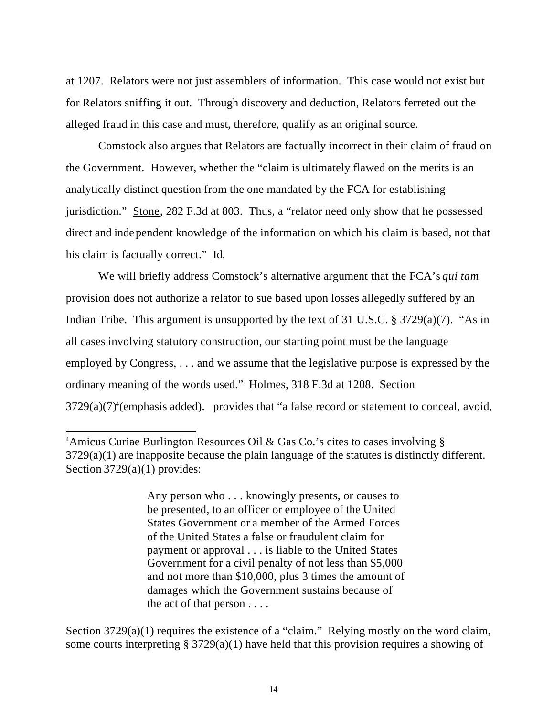at 1207. Relators were not just assemblers of information. This case would not exist but for Relators sniffing it out. Through discovery and deduction, Relators ferreted out the alleged fraud in this case and must, therefore, qualify as an original source.

Comstock also argues that Relators are factually incorrect in their claim of fraud on the Government. However, whether the "claim is ultimately flawed on the merits is an analytically distinct question from the one mandated by the FCA for establishing jurisdiction." Stone, 282 F.3d at 803. Thus, a "relator need only show that he possessed direct and independent knowledge of the information on which his claim is based, not that his claim is factually correct." Id.

We will briefly address Comstock's alternative argument that the FCA's *qui tam* provision does not authorize a relator to sue based upon losses allegedly suffered by an Indian Tribe. This argument is unsupported by the text of 31 U.S.C. § 3729(a)(7). "As in all cases involving statutory construction, our starting point must be the language employed by Congress, . . . and we assume that the legislative purpose is expressed by the ordinary meaning of the words used." Holmes, 318 F.3d at 1208. Section  $3729(a)(7)$ <sup>4</sup>(emphasis added). provides that "a false record or statement to conceal, avoid,

l

Any person who . . . knowingly presents, or causes to be presented, to an officer or employee of the United States Government or a member of the Armed Forces of the United States a false or fraudulent claim for payment or approval . . . is liable to the United States Government for a civil penalty of not less than \$5,000 and not more than \$10,000, plus 3 times the amount of damages which the Government sustains because of the act of that person . . . .

Section 3729(a)(1) requires the existence of a "claim." Relying mostly on the word claim, some courts interpreting  $\S 3729(a)(1)$  have held that this provision requires a showing of

<sup>&</sup>lt;sup>4</sup>Amicus Curiae Burlington Resources Oil & Gas Co.'s cites to cases involving § 3729(a)(1) are inapposite because the plain language of the statutes is distinctly different. Section 3729(a)(1) provides: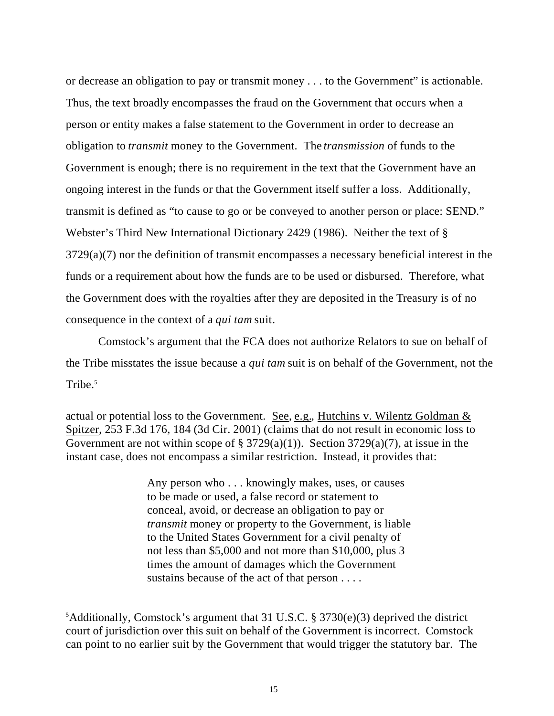or decrease an obligation to pay or transmit money . . . to the Government" is actionable. Thus, the text broadly encompasses the fraud on the Government that occurs when a person or entity makes a false statement to the Government in order to decrease an obligation to *transmit* money to the Government. The *transmission* of funds to the Government is enough; there is no requirement in the text that the Government have an ongoing interest in the funds or that the Government itself suffer a loss. Additionally, transmit is defined as "to cause to go or be conveyed to another person or place: SEND." Webster's Third New International Dictionary 2429 (1986). Neither the text of § 3729(a)(7) nor the definition of transmit encompasses a necessary beneficial interest in the funds or a requirement about how the funds are to be used or disbursed. Therefore, what the Government does with the royalties after they are deposited in the Treasury is of no consequence in the context of a *qui tam* suit.

Comstock's argument that the FCA does not authorize Relators to sue on behalf of the Tribe misstates the issue because a *qui tam* suit is on behalf of the Government, not the Tribe.<sup>5</sup>

actual or potential loss to the Government. See, e.g., Hutchins v. Wilentz Goldman & Spitzer, 253 F.3d 176, 184 (3d Cir. 2001) (claims that do not result in economic loss to Government are not within scope of § 3729(a)(1)). Section 3729(a)(7), at issue in the instant case, does not encompass a similar restriction. Instead, it provides that:

l

Any person who . . . knowingly makes, uses, or causes to be made or used, a false record or statement to conceal, avoid, or decrease an obligation to pay or *transmit* money or property to the Government, is liable to the United States Government for a civil penalty of not less than \$5,000 and not more than \$10,000, plus 3 times the amount of damages which the Government sustains because of the act of that person . . . .

 $5$ Additionally, Comstock's argument that 31 U.S.C. § 3730(e)(3) deprived the district court of jurisdiction over this suit on behalf of the Government is incorrect. Comstock can point to no earlier suit by the Government that would trigger the statutory bar. The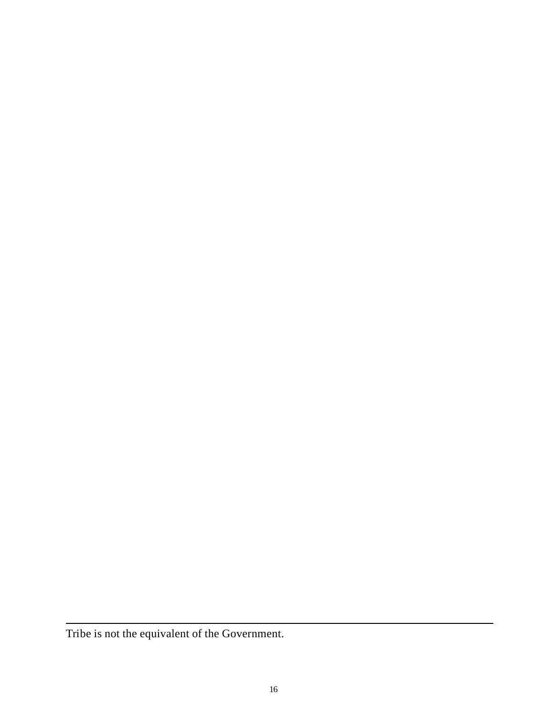Tribe is not the equivalent of the Government.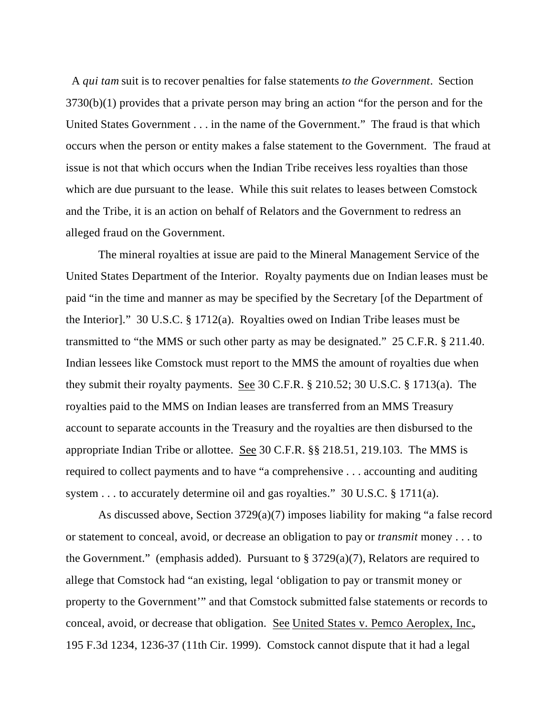A *qui tam* suit is to recover penalties for false statements *to the Government*. Section 3730(b)(1) provides that a private person may bring an action "for the person and for the United States Government . . . in the name of the Government." The fraud is that which occurs when the person or entity makes a false statement to the Government. The fraud at issue is not that which occurs when the Indian Tribe receives less royalties than those which are due pursuant to the lease. While this suit relates to leases between Comstock and the Tribe, it is an action on behalf of Relators and the Government to redress an alleged fraud on the Government.

The mineral royalties at issue are paid to the Mineral Management Service of the United States Department of the Interior. Royalty payments due on Indian leases must be paid "in the time and manner as may be specified by the Secretary [of the Department of the Interior]." 30 U.S.C. § 1712(a). Royalties owed on Indian Tribe leases must be transmitted to "the MMS or such other party as may be designated." 25 C.F.R. § 211.40. Indian lessees like Comstock must report to the MMS the amount of royalties due when they submit their royalty payments. See 30 C.F.R. § 210.52; 30 U.S.C. § 1713(a). The royalties paid to the MMS on Indian leases are transferred from an MMS Treasury account to separate accounts in the Treasury and the royalties are then disbursed to the appropriate Indian Tribe or allottee. See 30 C.F.R. §§ 218.51, 219.103. The MMS is required to collect payments and to have "a comprehensive . . . accounting and auditing system . . . to accurately determine oil and gas royalties." 30 U.S.C. § 1711(a).

As discussed above, Section 3729(a)(7) imposes liability for making "a false record or statement to conceal, avoid, or decrease an obligation to pay or *transmit* money . . . to the Government." (emphasis added). Pursuant to  $\S 3729(a)(7)$ , Relators are required to allege that Comstock had "an existing, legal 'obligation to pay or transmit money or property to the Government'" and that Comstock submitted false statements or records to conceal, avoid, or decrease that obligation. See United States v. Pemco Aeroplex, Inc., 195 F.3d 1234, 1236-37 (11th Cir. 1999). Comstock cannot dispute that it had a legal